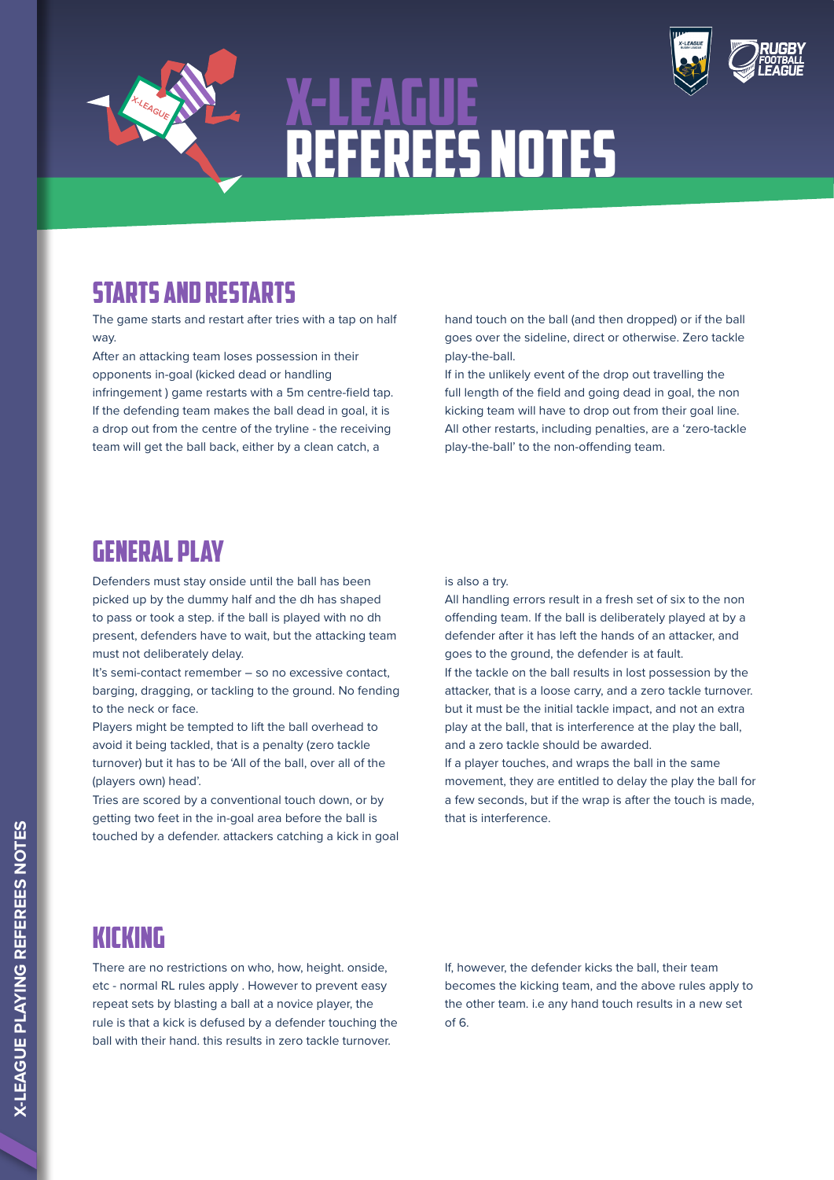

# X-LEAGUE rEFEREES NOTES



## STARTS AND RESTARTS

The game starts and restart after tries with a tap on half way.

After an attacking team loses possession in their opponents in-goal (kicked dead or handling infringement ) game restarts with a 5m centre-field tap. If the defending team makes the ball dead in goal, it is a drop out from the centre of the tryline - the receiving team will get the ball back, either by a clean catch, a

hand touch on the ball (and then dropped) or if the ball goes over the sideline, direct or otherwise. Zero tackle play-the-ball.

If in the unlikely event of the drop out travelling the full length of the field and going dead in goal, the non kicking team will have to drop out from their goal line. All other restarts, including penalties, are a 'zero-tackle play-the-ball' to the non-offending team.

### GENERAL PLAY

Defenders must stay onside until the ball has been picked up by the dummy half and the dh has shaped to pass or took a step. if the ball is played with no dh present, defenders have to wait, but the attacking team must not deliberately delay.

It's semi-contact remember – so no excessive contact, barging, dragging, or tackling to the ground. No fending to the neck or face.

Players might be tempted to lift the ball overhead to avoid it being tackled, that is a penalty (zero tackle turnover) but it has to be 'All of the ball, over all of the (players own) head'.

Tries are scored by a conventional touch down, or by getting two feet in the in-goal area before the ball is touched by a defender. attackers catching a kick in goal is also a try.

All handling errors result in a fresh set of six to the non offending team. If the ball is deliberately played at by a defender after it has left the hands of an attacker, and goes to the ground, the defender is at fault. If the tackle on the ball results in lost possession by the attacker, that is a loose carry, and a zero tackle turnover. but it must be the initial tackle impact, and not an extra play at the ball, that is interference at the play the ball, and a zero tackle should be awarded.

If a player touches, and wraps the ball in the same movement, they are entitled to delay the play the ball for a few seconds, but if the wrap is after the touch is made, that is interference.

#### KICKING

There are no restrictions on who, how, height. onside, etc - normal RL rules apply . However to prevent easy repeat sets by blasting a ball at a novice player, the rule is that a kick is defused by a defender touching the ball with their hand. this results in zero tackle turnover.

If, however, the defender kicks the ball, their team becomes the kicking team, and the above rules apply to the other team. i.e any hand touch results in a new set of 6.